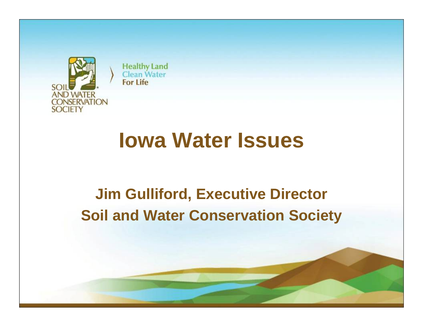

# **Iowa Water Issues**

## **Jim Gulliford, Executive Director Soil and Water Conservation Society**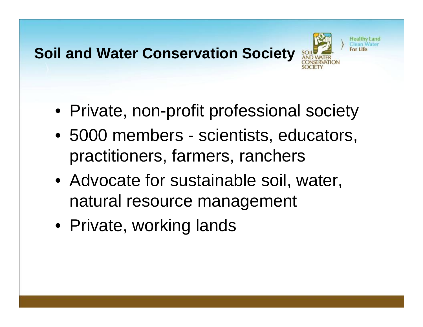### **Soil and Water Conservation Society**



- Private, non-profit professional society
- 5000 members scientists, educators, practitioners, farmers, ranchers
- Advocate for sustainable soil, water, natural resource management
- Private, working lands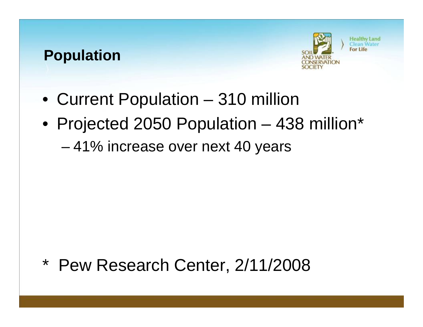#### **Population**



- Current Population 310 million
- Projected 2050 Population 438 million\*
	- and the state of the state 41% increase over next 40 years

Pew Research Center, 2/11/2008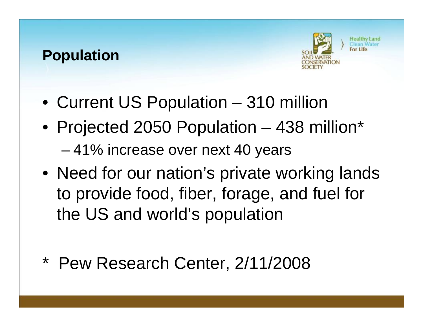#### **Population**



- Current US Population 310 million
- Projected 2050 Population 438 million\* and the state of the state 41% increase over next 40 years
- Need for our nation's private working lands to provide food, fiber, forage, and fuel for the US and world's population
- Pew Research Center, 2/11/2008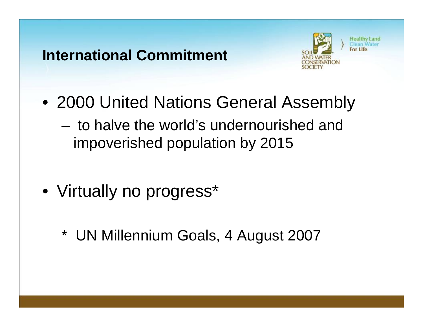#### **International Commitment**



- 2000 United Nations General Assembly
	- to halve the world's undernourished and impoverished population by 2015
- Virtually no progress\*
	- \* UN Millennium Goals, 4 August 2007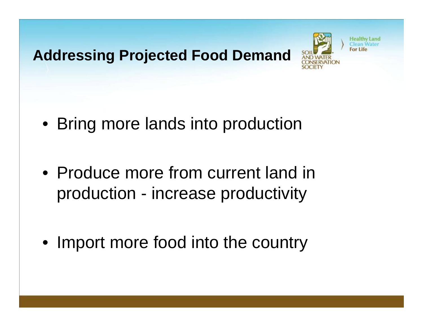**Addressing Projected Food Demand**



• Bring more lands into production

• Produce more from current land in production - increase productivity

• Import more food into the country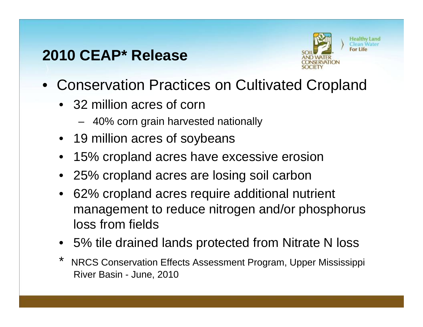#### **2010 CEAP\* Release**



- Conservation Practices on Cultivated Cropland
	- 32 million acres of corn
		- 40% corn grain harvested nationally
	- 19 million acres of soybeans
	- •15% cropland acres have excessive erosion
	- •25% cropland acres are losing soil carbon
	- • 62% cropland acres require additional nutrient management to reduce nitrogen and/or phosphorus loss from fields
	- 5% tile drained lands protected from Nitrate N loss
	- \* NRCS Conservation Effects Assessment Program, Upper Mississippi River Basin - June, 2010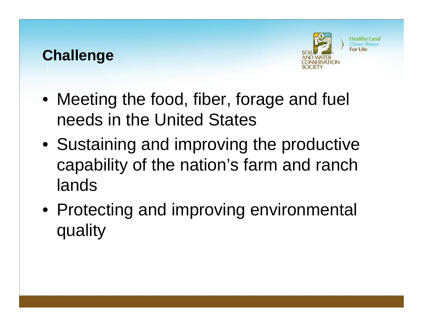



- Meeting the food, fiber, forage and fuel needs in the United States
- Sustaining and improving the productive capability of the nation's farm and ranch lands
- Protecting and improving environmental quality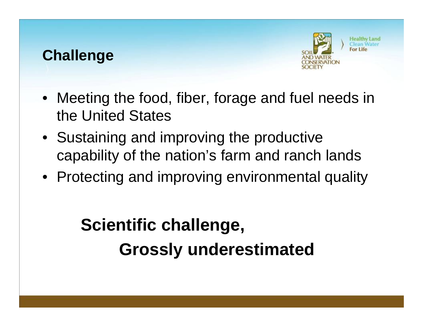#### **Challenge**



- Meeting the food, fiber, forage and fuel needs in the United States
- Sustaining and improving the productive capability of the nation's farm and ranch lands
- Protecting and improving environmental quality

# **Scientific challenge, Grossly underestimated**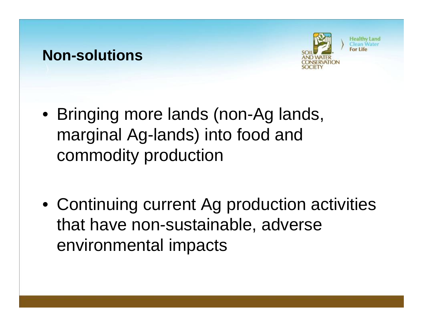#### **Non-solutions**



• Bringing more lands (non-Ag lands, marginal Ag-lands) into food and commodity production

• Continuing current Ag production activities that have non-sustainable, adverse environmental impacts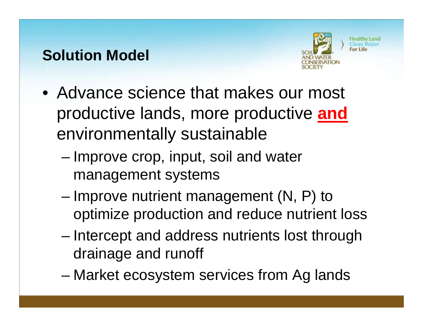#### **Solution Model**



- Advance science that makes our most productive lands, more productive **and** environmentally sustainable
	- and the state of the state Improve crop, input, soil and water management systems
	- – Improve nutrient management (N, P) to optimize production and reduce nutrient loss
	- and the state of the state Intercept and address nutrients lost through drainage and runoff
	- –Market ecosystem services from Ag lands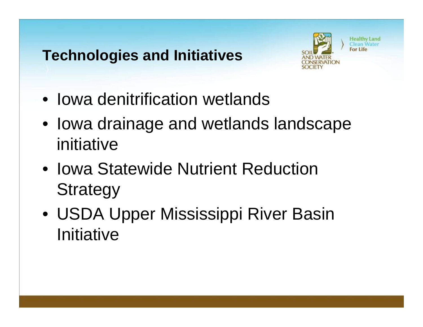#### **Technologies and Initiatives**



- Iowa denitrification wetlands
- Iowa drainage and wetlands landscape initiative
- Iowa Statewide Nutrient Reduction **Strategy**
- USDA Upper Mississippi River Basin Initiative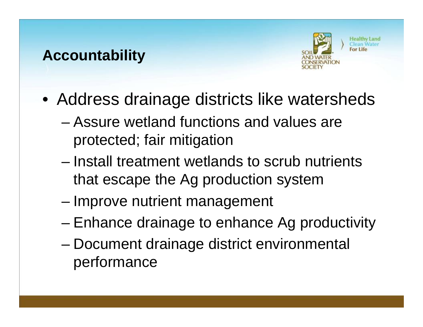#### **Accountability**



- Address drainage districts like watersheds
	- Assure wetland functions and values are protected; fair mitigation
	- Install treatment wetlands to scrub nutrients that escape the Ag production system
	- –Improve nutrient management
	- and the state of the state Enhance drainage to enhance Ag productivity
	- – Document drainage district environmental performance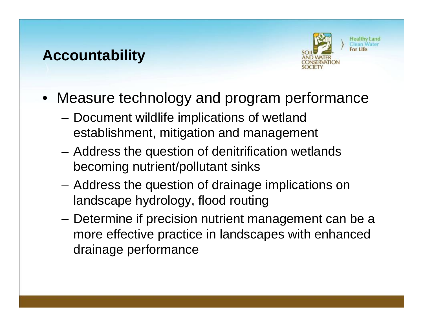#### **Accountability**



- Measure technology and program performance
	- **Links of the Company**  Document wildlife implications of wetland establishment, mitigation and management
	- – Address the question of denitrification wetlands becoming nutrient/pollutant sinks
	- and the state of the Address the question of drainage implications on landscape hydrology, flood routing
	- **Links of the Company**  Determine if precision nutrient management can be a more effective practice in landscapes with enhanced drainage performance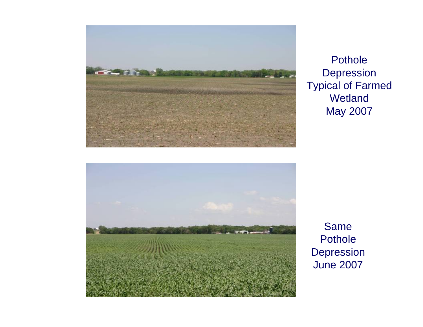

Pothole Depression Typical of Farmed Wetland May 2007



Same **Pothole** Depression June 2007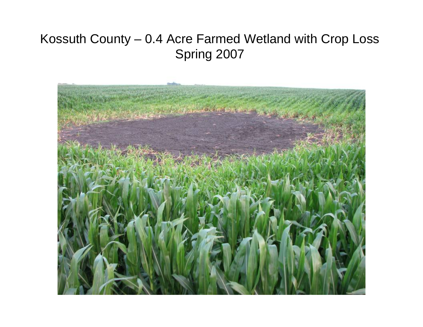#### Kossuth County – 0.4 Acre Farmed Wetland with Crop Loss Spring 2007

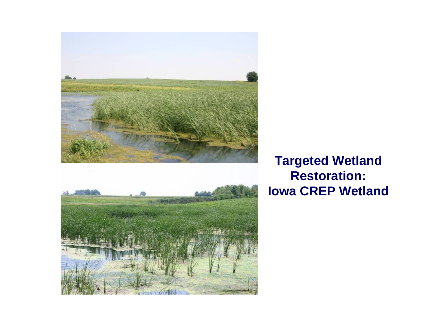

**Targeted Wetland Restoration: Iowa CREP Wetland**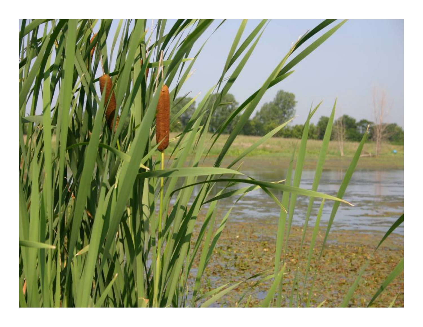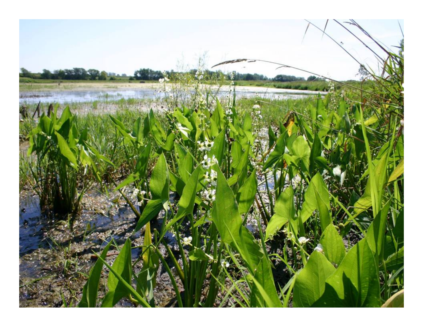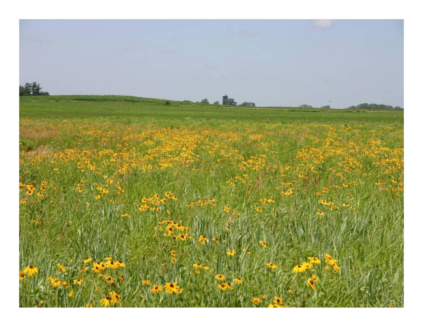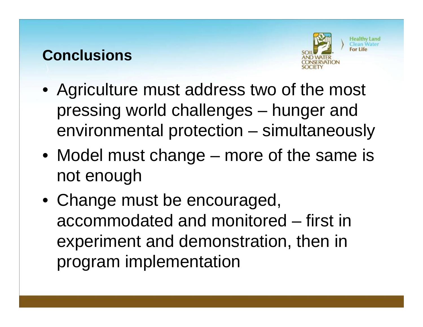### **Conclusions**



- Agriculture must address two of the most pressing world challenges – hunger and environmental protection – simultaneously
- Model must change more of the same is not enough
- Change must be encouraged, accommodated and monitored – first in experiment and demonstration, then in program implementation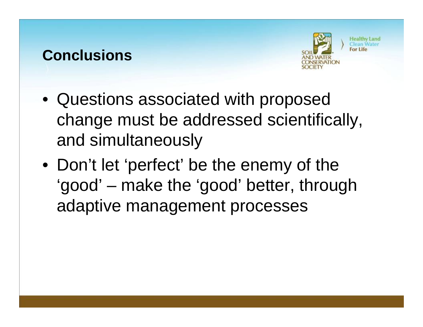#### **Conclusions**



- Questions associated with proposed change must be addressed scientifically, and simultaneously
- Don't let 'perfect' be the enemy of the 'good' – make the 'good' better, through adaptive management processes